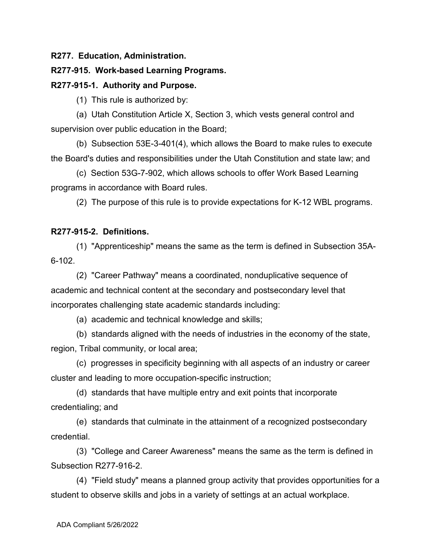### **R277. Education, Administration.**

### **R277-915. Work-based Learning Programs.**

### **R277-915-1. Authority and Purpose.**

(1) This rule is authorized by:

(a) Utah Constitution Article X, Section 3, which vests general control and supervision over public education in the Board;

(b) Subsection 53E-3-401(4), which allows the Board to make rules to execute the Board's duties and responsibilities under the Utah Constitution and state law; and

(c) Section 53G-7-902, which allows schools to offer Work Based Learning programs in accordance with Board rules.

(2) The purpose of this rule is to provide expectations for K-12 WBL programs.

## **R277-915-2. Definitions.**

(1) "Apprenticeship" means the same as the term is defined in Subsection 35A-6-102.

(2) "Career Pathway" means a coordinated, nonduplicative sequence of academic and technical content at the secondary and postsecondary level that incorporates challenging state academic standards including:

(a) academic and technical knowledge and skills;

(b) standards aligned with the needs of industries in the economy of the state, region, Tribal community, or local area;

(c) progresses in specificity beginning with all aspects of an industry or career cluster and leading to more occupation-specific instruction;

(d) standards that have multiple entry and exit points that incorporate credentialing; and

(e) standards that culminate in the attainment of a recognized postsecondary credential.

(3) "College and Career Awareness" means the same as the term is defined in Subsection R277-916-2.

(4) "Field study" means a planned group activity that provides opportunities for a student to observe skills and jobs in a variety of settings at an actual workplace.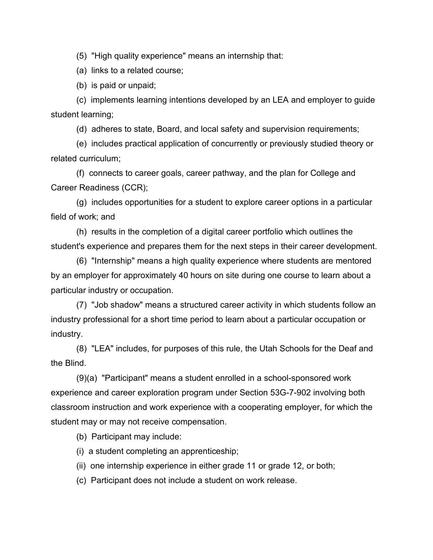(5) "High quality experience" means an internship that:

(a) links to a related course;

(b) is paid or unpaid;

(c) implements learning intentions developed by an LEA and employer to guide student learning;

(d) adheres to state, Board, and local safety and supervision requirements;

(e) includes practical application of concurrently or previously studied theory or related curriculum;

(f) connects to career goals, career pathway, and the plan for College and Career Readiness (CCR);

(g) includes opportunities for a student to explore career options in a particular field of work; and

(h) results in the completion of a digital career portfolio which outlines the student's experience and prepares them for the next steps in their career development.

(6) "Internship" means a high quality experience where students are mentored by an employer for approximately 40 hours on site during one course to learn about a particular industry or occupation.

(7) "Job shadow" means a structured career activity in which students follow an industry professional for a short time period to learn about a particular occupation or industry.

(8) "LEA" includes, for purposes of this rule, the Utah Schools for the Deaf and the Blind.

(9)(a) "Participant" means a student enrolled in a school-sponsored work experience and career exploration program under Section 53G-7-902 involving both classroom instruction and work experience with a cooperating employer, for which the student may or may not receive compensation.

(b) Participant may include:

(i) a student completing an apprenticeship;

(ii) one internship experience in either grade 11 or grade 12, or both;

(c) Participant does not include a student on work release.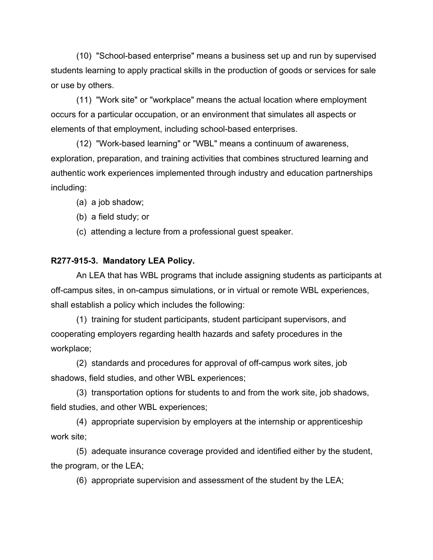(10) "School-based enterprise" means a business set up and run by supervised students learning to apply practical skills in the production of goods or services for sale or use by others.

(11) "Work site" or "workplace" means the actual location where employment occurs for a particular occupation, or an environment that simulates all aspects or elements of that employment, including school-based enterprises.

(12) "Work-based learning" or "WBL" means a continuum of awareness, exploration, preparation, and training activities that combines structured learning and authentic work experiences implemented through industry and education partnerships including:

- (a) a job shadow;
- (b) a field study; or
- (c) attending a lecture from a professional guest speaker.

# **R277-915-3. Mandatory LEA Policy.**

An LEA that has WBL programs that include assigning students as participants at off-campus sites, in on-campus simulations, or in virtual or remote WBL experiences, shall establish a policy which includes the following:

(1) training for student participants, student participant supervisors, and cooperating employers regarding health hazards and safety procedures in the workplace;

(2) standards and procedures for approval of off-campus work sites, job shadows, field studies, and other WBL experiences;

(3) transportation options for students to and from the work site, job shadows, field studies, and other WBL experiences;

(4) appropriate supervision by employers at the internship or apprenticeship work site;

(5) adequate insurance coverage provided and identified either by the student, the program, or the LEA;

(6) appropriate supervision and assessment of the student by the LEA;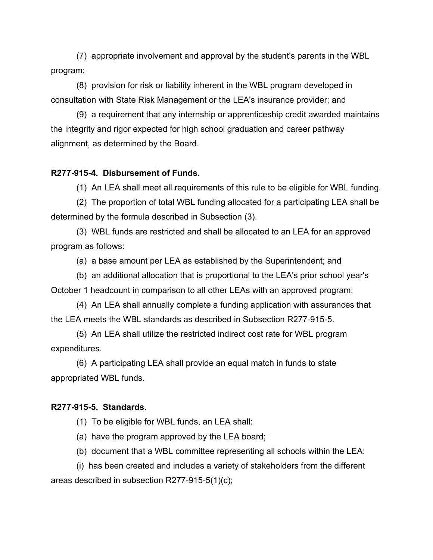(7) appropriate involvement and approval by the student's parents in the WBL program;

(8) provision for risk or liability inherent in the WBL program developed in consultation with State Risk Management or the LEA's insurance provider; and

(9) a requirement that any internship or apprenticeship credit awarded maintains the integrity and rigor expected for high school graduation and career pathway alignment, as determined by the Board.

### **R277-915-4. Disbursement of Funds.**

(1) An LEA shall meet all requirements of this rule to be eligible for WBL funding.

(2) The proportion of total WBL funding allocated for a participating LEA shall be determined by the formula described in Subsection (3).

(3) WBL funds are restricted and shall be allocated to an LEA for an approved program as follows:

(a) a base amount per LEA as established by the Superintendent; and

(b) an additional allocation that is proportional to the LEA's prior school year's

October 1 headcount in comparison to all other LEAs with an approved program;

(4) An LEA shall annually complete a funding application with assurances that the LEA meets the WBL standards as described in Subsection R277-915-5.

(5) An LEA shall utilize the restricted indirect cost rate for WBL program expenditures.

(6) A participating LEA shall provide an equal match in funds to state appropriated WBL funds.

#### **R277-915-5. Standards.**

(1) To be eligible for WBL funds, an LEA shall:

(a) have the program approved by the LEA board;

(b) document that a WBL committee representing all schools within the LEA:

(i) has been created and includes a variety of stakeholders from the different areas described in subsection R277-915-5(1)(c);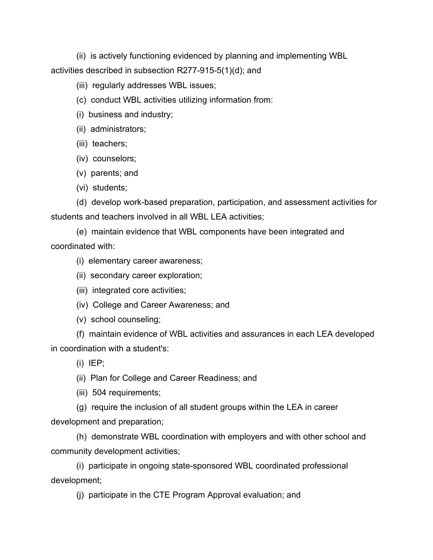(ii) is actively functioning evidenced by planning and implementing WBL activities described in subsection R277-915-5(1)(d); and

(iii) regularly addresses WBL issues;

- (c) conduct WBL activities utilizing information from:
- (i) business and industry;
- (ii) administrators;
- (iii) teachers;
- (iv) counselors;
- (v) parents; and
- (vi) students;

(d) develop work-based preparation, participation, and assessment activities for students and teachers involved in all WBL LEA activities;

(e) maintain evidence that WBL components have been integrated and coordinated with:

- (i) elementary career awareness;
- (ii) secondary career exploration;
- (iii) integrated core activities;
- (iv) College and Career Awareness; and
- (v) school counseling;

(f) maintain evidence of WBL activities and assurances in each LEA developed in coordination with a student's:

 $(i)$  IEP;

(ii) Plan for College and Career Readiness; and

- (iii) 504 requirements;
- (g) require the inclusion of all student groups within the LEA in career

development and preparation;

(h) demonstrate WBL coordination with employers and with other school and community development activities;

(i) participate in ongoing state-sponsored WBL coordinated professional development;

(j) participate in the CTE Program Approval evaluation; and